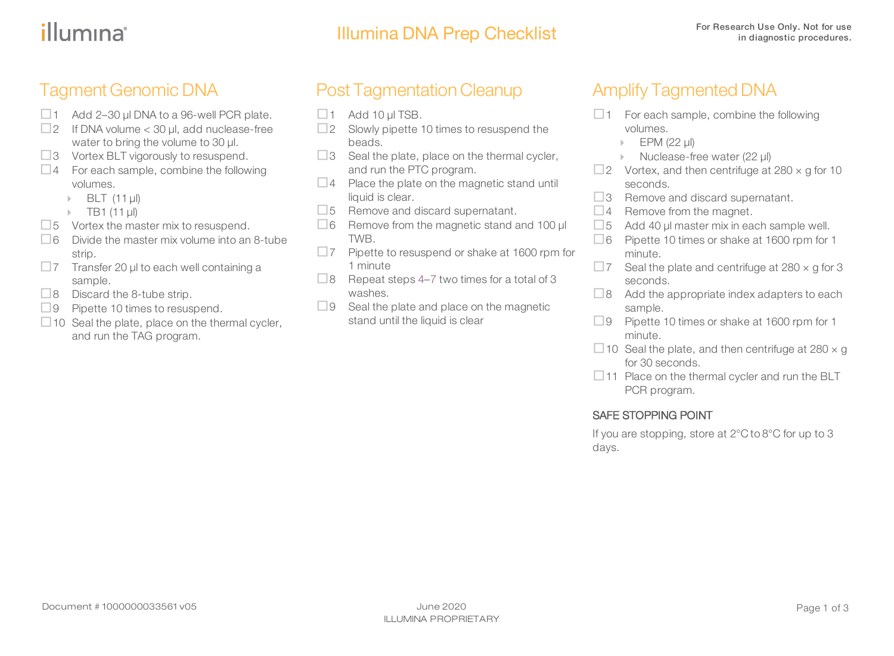### illumına

#### Tagment Genomic DNA

- $\Box$  1 Add 2–30 µl DNA to a 96-well PCR plate.
- $\Box$  2 If DNA volume < 30 µl, add nuclease-free water to bring the volume to 30 µl.
- $\square$ 3 Vortex BLT vigorously to resuspend.
- $\Box$ 4 For each sample, combine the following volumes.
	- $\triangleright$  BLT (11 ul)
	- $\triangleright$  TB1 (11 µl)
- $\square$ 5 Vortex the master mix to resuspend.
- $\Box$ 6 Divide the master mix volume into an 8-tube strip.
- $\square$ 7 Transfer 20 μl to each well containing a sample.
- $\Box$ 8 Discard the 8-tube strip.
- $\Box$ 9 Pipette 10 times to resuspend.
- $\Box$  10 Seal the plate, place on the thermal cycler, and run the TAG program.

### Post Tagmentation Cleanup

- $\Box$  1 Add 10 µl TSB.
- $\Box$  2 Slowly pipette 10 times to resuspend the beads.
- <span id="page-0-0"></span> $\Box$ 3 Seal the plate, place on the thermal cycler, and run the PTC program.
- $\Box$  4 Place the plate on the magnetic stand until liquid is clear.
- $\square$ 5 Remove and discard supernatant.
- <span id="page-0-1"></span> $\Box$ 6 Remove from the magnetic stand and 100  $\mu$ TWB.
- $\square$ 7 Pipette to resuspend or shake at 1600 rpm for 1 minute
- $\Box$ 8 Repeat steps [4](#page-0-0)–[7](#page-0-1) two times for a total of 3 washes.
- $\Box$ 9 Seal the plate and place on the magnetic stand until the liquid is clear

#### Amplify Tagmented DNA

- $\Box$  1 For each sample, combine the following volumes.
	- $\blacktriangleright$  EPM (22 µl)
	- ▶ Nuclease-free water (22 µl)
- $\square$ 2 Vortex, and then centrifuge at 280  $\times$  g for 10 seconds.
- $\Box$ 3 Remove and discard supernatant.
- $\Box$  4 Remove from the magnet.
- $\square$  5 Add 40 µl master mix in each sample well.
- □6 Pipette 10 times or shake at 1600 rpm for 1 minute.
- $\Box$  7 Seal the plate and centrifuge at 280  $\times$  g for 3 seconds.
- $\Box$ 8 Add the appropriate index adapters to each sample.
- $\Box$ 9 Pipette 10 times or shake at 1600 rpm for 1 minute.
- $\Box$  10 Seal the plate, and then centrifuge at 280  $\times$  g for 30 seconds.
- $\Box$  11 Place on the thermal cycler and run the BLT PCR program.

#### SAFE STOPPING POINT

If you are stopping, store at 2°C to 8°C for up to 3 days.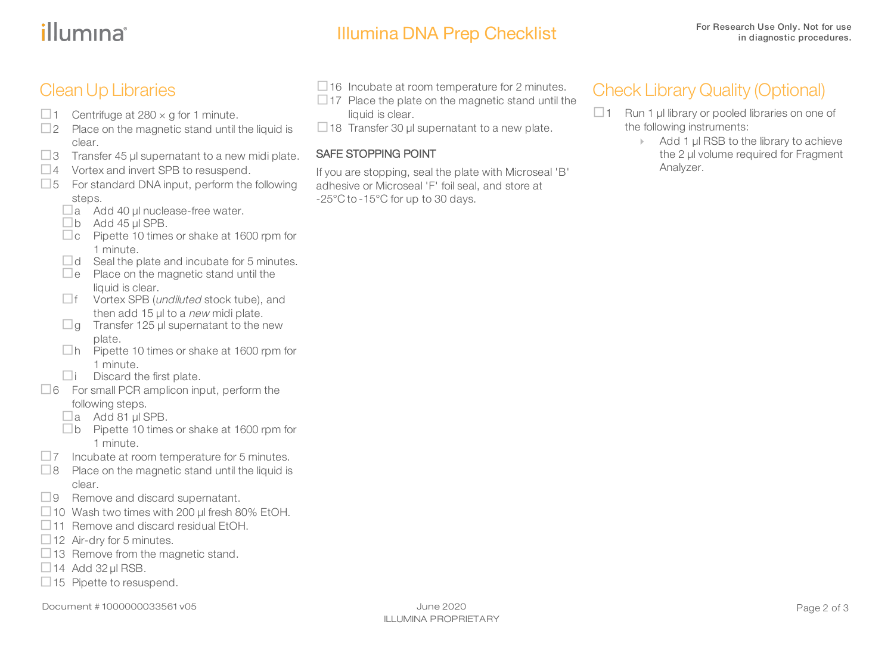# illumına<sup>®</sup>

### Illumina DNA Prep Checklist For Research Use Only. Not for use

 $\Box$  16 Incubate at room temperature for 2 minutes.  $\Box$  17 Place the plate on the magnetic stand until the

 $\Box$  18 Transfer 30 µl supernatant to a new plate.

If you are stopping, seal the plate with Microseal 'B' adhesive or Microseal 'F' foil seal, and store at

liquid is clear.

SAFE STOPPING POINT

-25°C to -15°C for up to 30 days.

#### CleanUp Libraries

- $\Box$  1 Centrifuge at 280  $\times$  g for 1 minute.
- $\square$ 2 Place on the magnetic stand until the liquid is clear.
- $\square$ 3 Transfer 45 µl supernatant to a new midi plate.
- $\Box$ 4 Vortex and invert SPB to resuspend.
- $\square$ 5 For standard DNA input, perform the following steps.
	- $\Box$ a Add 40 µl nuclease-free water.
	- $\n **ab**$  Add 45  $\mu$ I SPB.
	- $\Box$ c Pipette 10 times or shake at 1600 rpm for 1 minute.
	- $\Box$ d Seal the plate and incubate for 5 minutes.
	- $\Box$ e Place on the magnetic stand until the liquid is clear.
	- $\Box$  f Vortex SPB (*undiluted* stock tube), and then add 15 µl to a new midi plate.
	- $\Box$ g Transfer 125 µl supernatant to the new
	- plate.<br>  $\Box$ h Pipette 10 times or shake at 1600 rpm for 1 minute.
	- $\Box$ i Discard the first plate.
- $\Box$  6 For small PCR amplicon input, perform the following steps.
	- $\Box$ a Add 81 µl SPB.
	- □b Pipette 10 times or shake at 1600 rpm for 1 minute.
- $\square$ 7 Incubate at room temperature for 5 minutes.
- $\Box$ 8 Place on the magnetic stand until the liquid is clear.
- $\Box$ 9 Remove and discard supernatant.
- $\Box$  10 Wash two times with 200 µl fresh 80% EtOH.
- $\Box$ 11 Remove and discard residual EtOH.
- $\Box$  12 Air-dry for 5 minutes.
- $\Box$  13 Remove from the magnetic stand.
- $\Box$  14 Add 32 µl RSB.
- $\Box$  15 Pipette to resuspend.

ILLUMINA PROPRIETARY

#### Check Library Quality (Optional)

- $\Box$  1 Run 1 µl library or pooled libraries on one of the following instruments:
	- **▶ Add 1 µl RSB to the library to achieve** the 2 µl volume required for Fragment Analyzer.